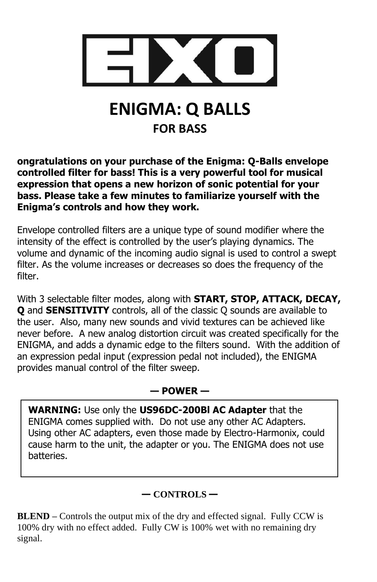

# **ENIGMA: Q BALLS FOR BASS**

**ongratulations on your purchase of the Enigma: Q-Balls envelope controlled filter for bass! This is a very powerful tool for musical expression that opens a new horizon of sonic potential for your bass. Please take a few minutes to familiarize yourself with the Enigma's controls and how they work.**

Envelope controlled filters are a unique type of sound modifier where the intensity of the effect is controlled by the user's playing dynamics. The volume and dynamic of the incoming audio signal is used to control a swept filter. As the volume increases or decreases so does the frequency of the filter.

With 3 selectable filter modes, along with **START, STOP, ATTACK, DECAY, Q** and **SENSITIVITY** controls, all of the classic Q sounds are available to the user. Also, many new sounds and vivid textures can be achieved like never before. A new analog distortion circuit was created specifically for the ENIGMA, and adds a dynamic edge to the filters sound. With the addition of an expression pedal input (expression pedal not included), the ENIGMA provides manual control of the filter sweep.

# **— POWER —**

**WARNING:** Use only the **US96DC-200Bl AC Adapter** that the ENIGMA comes supplied with. Do not use any other AC Adapters. Using other AC adapters, even those made by Electro-Harmonix, could cause harm to the unit, the adapter or you. The ENIGMA does not use batteries.

# **— CONTROLS —**

**BLEND –** Controls the output mix of the dry and effected signal. Fully CCW is 100% dry with no effect added. Fully CW is 100% wet with no remaining dry signal.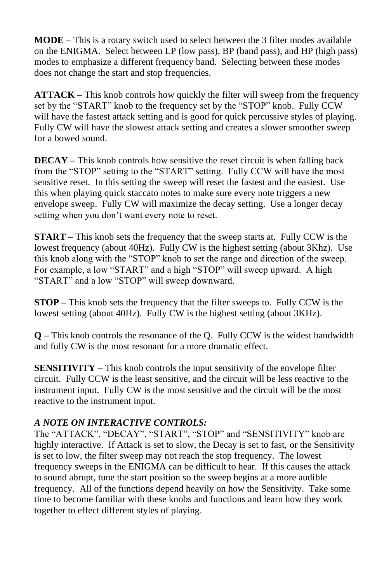**MODE –** This is a rotary switch used to select between the 3 filter modes available on the ENIGMA. Select between LP (low pass), BP (band pass), and HP (high pass) modes to emphasize a different frequency band. Selecting between these modes does not change the start and stop frequencies.

**ATTACK –** This knob controls how quickly the filter will sweep from the frequency set by the "START" knob to the frequency set by the "STOP" knob. Fully CCW will have the fastest attack setting and is good for quick percussive styles of playing. Fully CW will have the slowest attack setting and creates a slower smoother sweep for a bowed sound.

**DECAY –** This knob controls how sensitive the reset circuit is when falling back from the "STOP" setting to the "START" setting. Fully CCW will have the most sensitive reset. In this setting the sweep will reset the fastest and the easiest. Use this when playing quick staccato notes to make sure every note triggers a new envelope sweep. Fully CW will maximize the decay setting. Use a longer decay setting when you don't want every note to reset.

**START –** This knob sets the frequency that the sweep starts at. Fully CCW is the lowest frequency (about 40Hz). Fully CW is the highest setting (about 3Khz). Use this knob along with the "STOP" knob to set the range and direction of the sweep. For example, a low "START" and a high "STOP" will sweep upward. A high "START" and a low "STOP" will sweep downward.

**STOP –** This knob sets the frequency that the filter sweeps to. Fully CCW is the lowest setting (about 40Hz). Fully CW is the highest setting (about 3KHz).

**Q –** This knob controls the resonance of the Q. Fully CCW is the widest bandwidth and fully CW is the most resonant for a more dramatic effect.

**SENSITIVITY –** This knob controls the input sensitivity of the envelope filter circuit. Fully CCW is the least sensitive, and the circuit will be less reactive to the instrument input. Fully CW is the most sensitive and the circuit will be the most reactive to the instrument input.

## *A NOTE ON INTERACTIVE CONTROLS:*

The "ATTACK", "DECAY", "START", "STOP" and "SENSITIVITY" knob are highly interactive. If Attack is set to slow, the Decay is set to fast, or the Sensitivity is set to low, the filter sweep may not reach the stop frequency. The lowest frequency sweeps in the ENIGMA can be difficult to hear. If this causes the attack to sound abrupt, tune the start position so the sweep begins at a more audible frequency. All of the functions depend heavily on how the Sensitivity. Take some time to become familiar with these knobs and functions and learn how they work together to effect different styles of playing.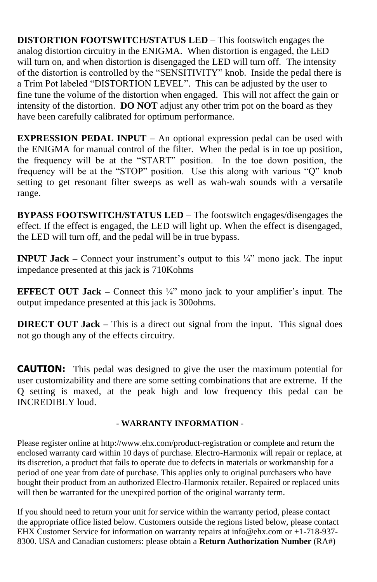**DISTORTION FOOTSWITCH/STATUS LED** – This footswitch engages the analog distortion circuitry in the ENIGMA. When distortion is engaged, the LED will turn on, and when distortion is disengaged the LED will turn off. The intensity of the distortion is controlled by the "SENSITIVITY" knob. Inside the pedal there is a Trim Pot labeled "DISTORTION LEVEL". This can be adjusted by the user to fine tune the volume of the distortion when engaged. This will not affect the gain or intensity of the distortion. **DO NOT** adjust any other trim pot on the board as they have been carefully calibrated for optimum performance.

**EXPRESSION PEDAL INPUT –** An optional expression pedal can be used with the ENIGMA for manual control of the filter. When the pedal is in toe up position, the frequency will be at the "START" position. In the toe down position, the frequency will be at the "STOP" position. Use this along with various "Q" knob setting to get resonant filter sweeps as well as wah-wah sounds with a versatile range.

**BYPASS FOOTSWITCH/STATUS LED** – The footswitch engages/disengages the effect. If the effect is engaged, the LED will light up. When the effect is disengaged, the LED will turn off, and the pedal will be in true bypass.

**INPUT Jack –** Connect your instrument's output to this ¼" mono jack. The input impedance presented at this jack is 710Kohms

**EFFECT OUT Jack –** Connect this  $\frac{1}{4}$  mono jack to your amplifier's input. The output impedance presented at this jack is 300ohms.

**DIRECT OUT Jack –** This is a direct out signal from the input. This signal does not go though any of the effects circuitry.

**CAUTION:** This pedal was designed to give the user the maximum potential for user customizability and there are some setting combinations that are extreme. If the Q setting is maxed, at the peak high and low frequency this pedal can be INCREDIBLY loud.

#### **- WARRANTY INFORMATION -**

Please register online at http://www.ehx.com/product-registration or complete and return the enclosed warranty card within 10 days of purchase. Electro-Harmonix will repair or replace, at its discretion, a product that fails to operate due to defects in materials or workmanship for a period of one year from date of purchase. This applies only to original purchasers who have bought their product from an authorized Electro-Harmonix retailer. Repaired or replaced units will then be warranted for the unexpired portion of the original warranty term.

If you should need to return your unit for service within the warranty period, please contact the appropriate office listed below. Customers outside the regions listed below, please contact EHX Customer Service for information on warranty repairs at info@ehx.com or +1-718-937- 8300. USA and Canadian customers: please obtain a **Return Authorization Number** (RA#)